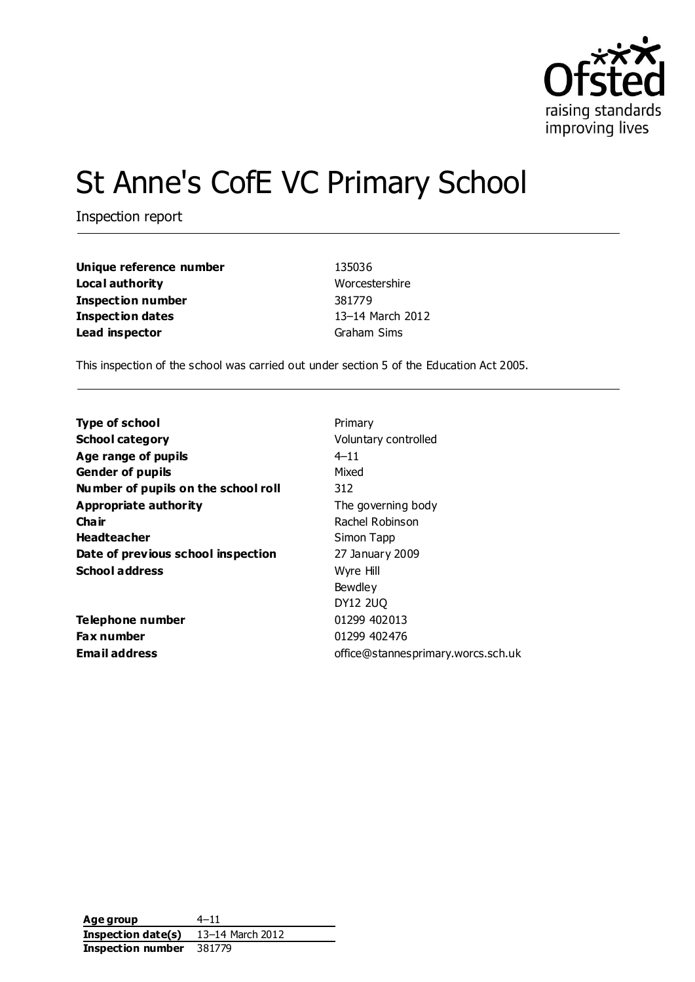

# St Anne's CofE VC Primary School

Inspection report

| Unique reference number | 135036           |
|-------------------------|------------------|
| Local authority         | Worcestershire   |
| Inspection number       | 381779           |
| Inspection dates        | 13-14 March 2012 |
| Lead inspector          | Graham Sims      |

This inspection of the school was carried out under section 5 of the Education Act 2005.

| <b>Type of school</b>               | Primary                            |
|-------------------------------------|------------------------------------|
| <b>School category</b>              | Voluntary controlled               |
| Age range of pupils                 | $4 - 11$                           |
| <b>Gender of pupils</b>             | Mixed                              |
| Number of pupils on the school roll | 312                                |
| <b>Appropriate authority</b>        | The governing body                 |
| Cha ir                              | Rachel Robinson                    |
| <b>Headteacher</b>                  | Simon Tapp                         |
| Date of previous school inspection  | 27 January 2009                    |
| <b>School address</b>               | Wyre Hill                          |
|                                     | Bewdley                            |
|                                     | <b>DY12 2UQ</b>                    |
| Telephone number                    | 01299 402013                       |
| <b>Fax number</b>                   | 01299 402476                       |
| <b>Email address</b>                | office@stannesprimary.worcs.sch.uk |

**Age group** 4–11 **Inspection date(s)** 13–14 March 2012 **Inspection number** 381779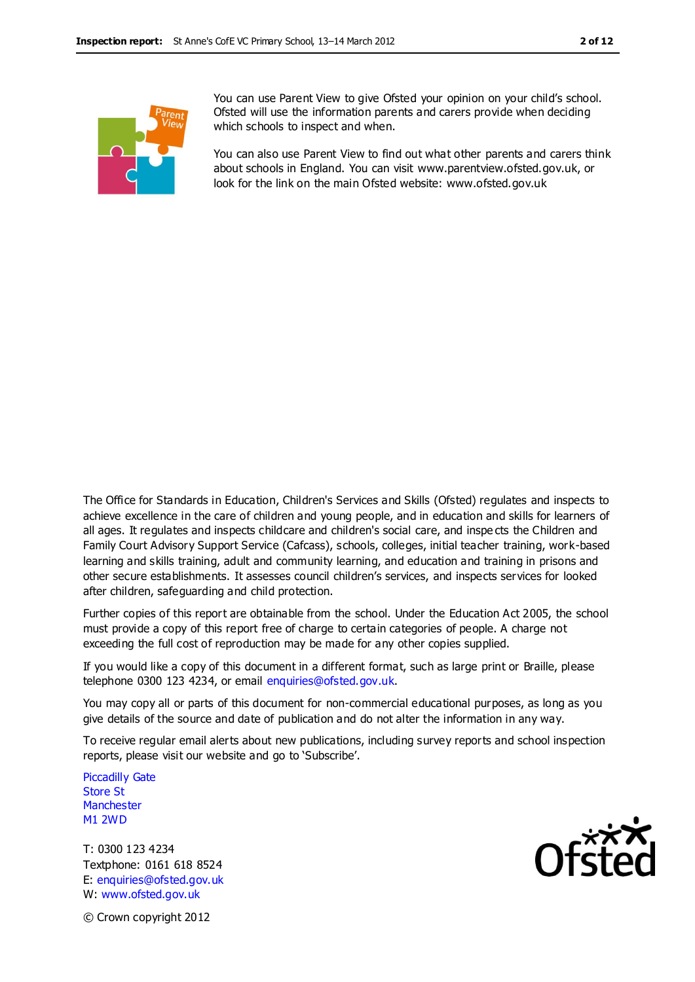

You can use Parent View to give Ofsted your opinion on your child's school. Ofsted will use the information parents and carers provide when deciding which schools to inspect and when.

You can also use Parent View to find out what other parents and carers think about schools in England. You can visit [www.parentview.ofsted.gov.uk,](http://www.parentview.ofsted.gov.uk/) or look for the link on the main Ofsted website: [www.ofsted.gov.uk](http://www.ofsted.gov.uk/)

The Office for Standards in Education, Children's Services and Skills (Ofsted) regulates and inspects to achieve excellence in the care of children and young people, and in education and skills for learners of all ages. It regulates and inspects childcare and children's social care, and inspe cts the Children and Family Court Advisory Support Service (Cafcass), schools, colleges, initial teacher training, work-based learning and skills training, adult and community learning, and education and training in prisons and other secure establishments. It assesses council children's services, and inspects services for looked after children, safeguarding and child protection.

Further copies of this report are obtainable from the school. Under the Education Act 2005, the school must provide a copy of this report free of charge to certain categories of people. A charge not exceeding the full cost of reproduction may be made for any other copies supplied.

If you would like a copy of this document in a different format, such as large print or Braille, please telephone 0300 123 4234, or email enquiries@ofsted.gov.uk.

You may copy all or parts of this document for non-commercial educational purposes, as long as you give details of the source and date of publication and do not alter the information in any way.

To receive regular email alerts about new publications, including survey reports and school inspection reports, please visit our website and go to 'Subscribe'.

Piccadilly Gate Store St **Manchester** M1 2WD

T: 0300 123 4234 Textphone: 0161 618 8524 E: enquiries@ofsted.gov.uk W: www.ofsted.gov.uk



© Crown copyright 2012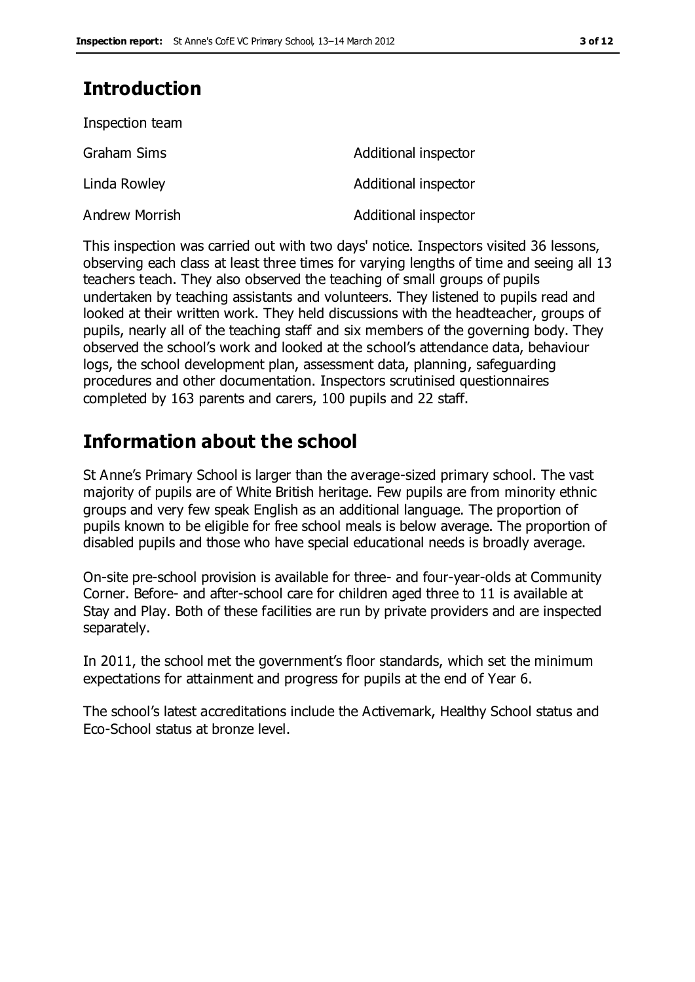## **Introduction**

Inspection team

| Inspection team |                      |
|-----------------|----------------------|
| Graham Sims     | Additional inspector |
| Linda Rowley    | Additional inspector |
| Andrew Morrish  | Additional inspector |

This inspection was carried out with two days' notice. Inspectors visited 36 lessons, observing each class at least three times for varying lengths of time and seeing all 13 teachers teach. They also observed the teaching of small groups of pupils undertaken by teaching assistants and volunteers. They listened to pupils read and looked at their written work. They held discussions with the headteacher, groups of pupils, nearly all of the teaching staff and six members of the governing body. They observed the school's work and looked at the school's attendance data, behaviour logs, the school development plan, assessment data, planning, safeguarding procedures and other documentation. Inspectors scrutinised questionnaires completed by 163 parents and carers, 100 pupils and 22 staff.

## **Information about the school**

St Anne's Primary School is larger than the average-sized primary school. The vast majority of pupils are of White British heritage. Few pupils are from minority ethnic groups and very few speak English as an additional language. The proportion of pupils known to be eligible for free school meals is below average. The proportion of disabled pupils and those who have special educational needs is broadly average.

On-site pre-school provision is available for three- and four-year-olds at Community Corner. Before- and after-school care for children aged three to 11 is available at Stay and Play. Both of these facilities are run by private providers and are inspected separately.

In 2011, the school met the government's floor standards, which set the minimum expectations for attainment and progress for pupils at the end of Year 6.

The school's latest accreditations include the Activemark, Healthy School status and Eco-School status at bronze level.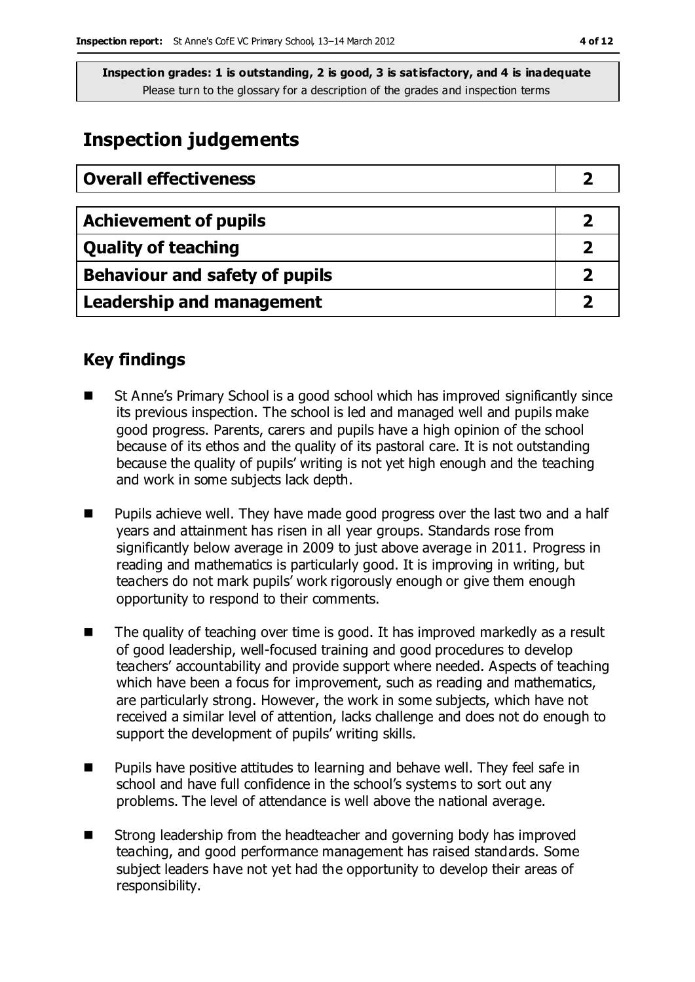## **Inspection judgements**

| <b>Overall effectiveness</b>   |  |
|--------------------------------|--|
|                                |  |
| <b>Achievement of pupils</b>   |  |
| <b>Quality of teaching</b>     |  |
| Behaviour and safety of pupils |  |
| Leadership and management      |  |

### **Key findings**

- St Anne's Primary School is a good school which has improved significantly since its previous inspection. The school is led and managed well and pupils make good progress. Parents, carers and pupils have a high opinion of the school because of its ethos and the quality of its pastoral care. It is not outstanding because the quality of pupils' writing is not yet high enough and the teaching and work in some subjects lack depth.
- Pupils achieve well. They have made good progress over the last two and a half years and attainment has risen in all year groups. Standards rose from significantly below average in 2009 to just above average in 2011. Progress in reading and mathematics is particularly good. It is improving in writing, but teachers do not mark pupils' work rigorously enough or give them enough opportunity to respond to their comments.
- The quality of teaching over time is good. It has improved markedly as a result of good leadership, well-focused training and good procedures to develop teachers' accountability and provide support where needed. Aspects of teaching which have been a focus for improvement, such as reading and mathematics, are particularly strong. However, the work in some subjects, which have not received a similar level of attention, lacks challenge and does not do enough to support the development of pupils' writing skills.
- $\blacksquare$  Pupils have positive attitudes to learning and behave well. They feel safe in school and have full confidence in the school's systems to sort out any problems. The level of attendance is well above the national average.
- Strong leadership from the headteacher and governing body has improved teaching, and good performance management has raised standards. Some subject leaders have not yet had the opportunity to develop their areas of responsibility.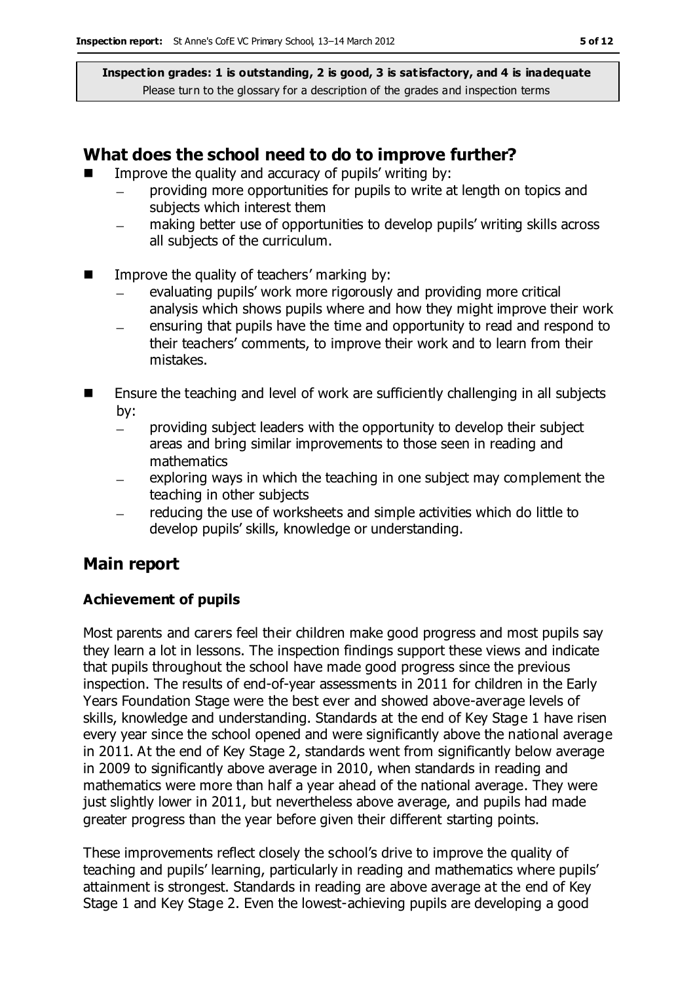#### **What does the school need to do to improve further?**

- Improve the quality and accuracy of pupils' writing by:
	- providing more opportunities for pupils to write at length on topics and subjects which interest them
	- making better use of opportunities to develop pupils' writing skills across  $\equiv$ all subjects of the curriculum.
- $\blacksquare$  Improve the quality of teachers' marking by:
	- evaluating pupils' work more rigorously and providing more critical analysis which shows pupils where and how they might improve their work
	- ensuring that pupils have the time and opportunity to read and respond to their teachers' comments, to improve their work and to learn from their mistakes.
- $\blacksquare$  Ensure the teaching and level of work are sufficiently challenging in all subjects by:
	- providing subject leaders with the opportunity to develop their subject  $\equiv$ areas and bring similar improvements to those seen in reading and mathematics
	- exploring ways in which the teaching in one subject may complement the teaching in other subjects
	- reducing the use of worksheets and simple activities which do little to develop pupils' skills, knowledge or understanding.

### **Main report**

#### **Achievement of pupils**

Most parents and carers feel their children make good progress and most pupils say they learn a lot in lessons. The inspection findings support these views and indicate that pupils throughout the school have made good progress since the previous inspection. The results of end-of-year assessments in 2011 for children in the Early Years Foundation Stage were the best ever and showed above-average levels of skills, knowledge and understanding. Standards at the end of Key Stage 1 have risen every year since the school opened and were significantly above the national average in 2011. At the end of Key Stage 2, standards went from significantly below average in 2009 to significantly above average in 2010, when standards in reading and mathematics were more than half a year ahead of the national average. They were just slightly lower in 2011, but nevertheless above average, and pupils had made greater progress than the year before given their different starting points.

These improvements reflect closely the school's drive to improve the quality of teaching and pupils' learning, particularly in reading and mathematics where pupils' attainment is strongest. Standards in reading are above average at the end of Key Stage 1 and Key Stage 2. Even the lowest-achieving pupils are developing a good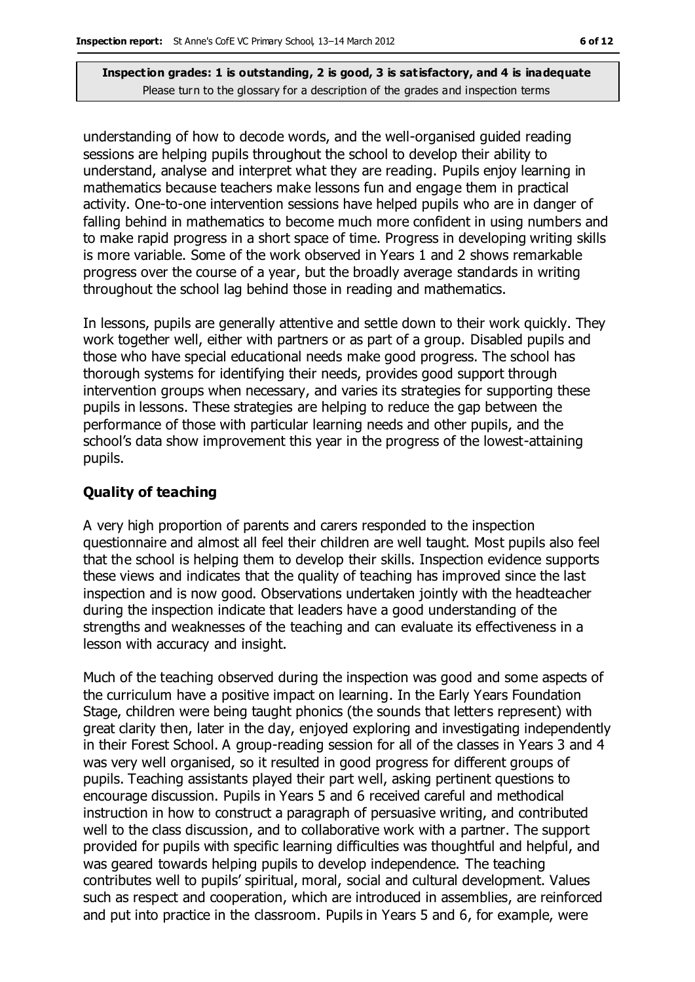understanding of how to decode words, and the well-organised guided reading sessions are helping pupils throughout the school to develop their ability to understand, analyse and interpret what they are reading. Pupils enjoy learning in mathematics because teachers make lessons fun and engage them in practical activity. One-to-one intervention sessions have helped pupils who are in danger of falling behind in mathematics to become much more confident in using numbers and to make rapid progress in a short space of time. Progress in developing writing skills is more variable. Some of the work observed in Years 1 and 2 shows remarkable progress over the course of a year, but the broadly average standards in writing throughout the school lag behind those in reading and mathematics.

In lessons, pupils are generally attentive and settle down to their work quickly. They work together well, either with partners or as part of a group. Disabled pupils and those who have special educational needs make good progress. The school has thorough systems for identifying their needs, provides good support through intervention groups when necessary, and varies its strategies for supporting these pupils in lessons. These strategies are helping to reduce the gap between the performance of those with particular learning needs and other pupils, and the school's data show improvement this year in the progress of the lowest-attaining pupils.

#### **Quality of teaching**

A very high proportion of parents and carers responded to the inspection questionnaire and almost all feel their children are well taught. Most pupils also feel that the school is helping them to develop their skills. Inspection evidence supports these views and indicates that the quality of teaching has improved since the last inspection and is now good. Observations undertaken jointly with the headteacher during the inspection indicate that leaders have a good understanding of the strengths and weaknesses of the teaching and can evaluate its effectiveness in a lesson with accuracy and insight.

Much of the teaching observed during the inspection was good and some aspects of the curriculum have a positive impact on learning. In the Early Years Foundation Stage, children were being taught phonics (the sounds that letters represent) with great clarity then, later in the day, enjoyed exploring and investigating independently in their Forest School. A group-reading session for all of the classes in Years 3 and 4 was very well organised, so it resulted in good progress for different groups of pupils. Teaching assistants played their part well, asking pertinent questions to encourage discussion. Pupils in Years 5 and 6 received careful and methodical instruction in how to construct a paragraph of persuasive writing, and contributed well to the class discussion, and to collaborative work with a partner. The support provided for pupils with specific learning difficulties was thoughtful and helpful, and was geared towards helping pupils to develop independence. The teaching contributes well to pupils' spiritual, moral, social and cultural development. Values such as respect and cooperation, which are introduced in assemblies, are reinforced and put into practice in the classroom. Pupils in Years 5 and 6, for example, were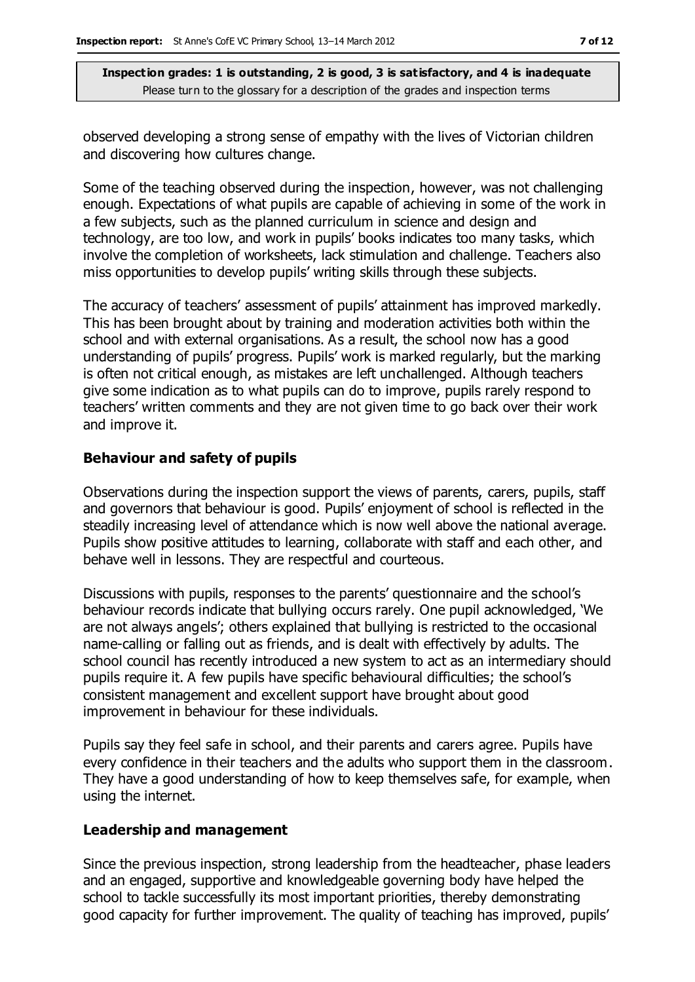observed developing a strong sense of empathy with the lives of Victorian children and discovering how cultures change.

Some of the teaching observed during the inspection, however, was not challenging enough. Expectations of what pupils are capable of achieving in some of the work in a few subjects, such as the planned curriculum in science and design and technology, are too low, and work in pupils' books indicates too many tasks, which involve the completion of worksheets, lack stimulation and challenge. Teachers also miss opportunities to develop pupils' writing skills through these subjects.

The accuracy of teachers' assessment of pupils' attainment has improved markedly. This has been brought about by training and moderation activities both within the school and with external organisations. As a result, the school now has a good understanding of pupils' progress. Pupils' work is marked regularly, but the marking is often not critical enough, as mistakes are left unchallenged. Although teachers give some indication as to what pupils can do to improve, pupils rarely respond to teachers' written comments and they are not given time to go back over their work and improve it.

#### **Behaviour and safety of pupils**

Observations during the inspection support the views of parents, carers, pupils, staff and governors that behaviour is good. Pupils' enjoyment of school is reflected in the steadily increasing level of attendance which is now well above the national average. Pupils show positive attitudes to learning, collaborate with staff and each other, and behave well in lessons. They are respectful and courteous.

Discussions with pupils, responses to the parents' questionnaire and the school's behaviour records indicate that bullying occurs rarely. One pupil acknowledged, 'We are not always angels'; others explained that bullying is restricted to the occasional name-calling or falling out as friends, and is dealt with effectively by adults. The school council has recently introduced a new system to act as an intermediary should pupils require it. A few pupils have specific behavioural difficulties; the school's consistent management and excellent support have brought about good improvement in behaviour for these individuals.

Pupils say they feel safe in school, and their parents and carers agree. Pupils have every confidence in their teachers and the adults who support them in the classroom. They have a good understanding of how to keep themselves safe, for example, when using the internet.

#### **Leadership and management**

Since the previous inspection, strong leadership from the headteacher, phase leaders and an engaged, supportive and knowledgeable governing body have helped the school to tackle successfully its most important priorities, thereby demonstrating good capacity for further improvement. The quality of teaching has improved, pupils'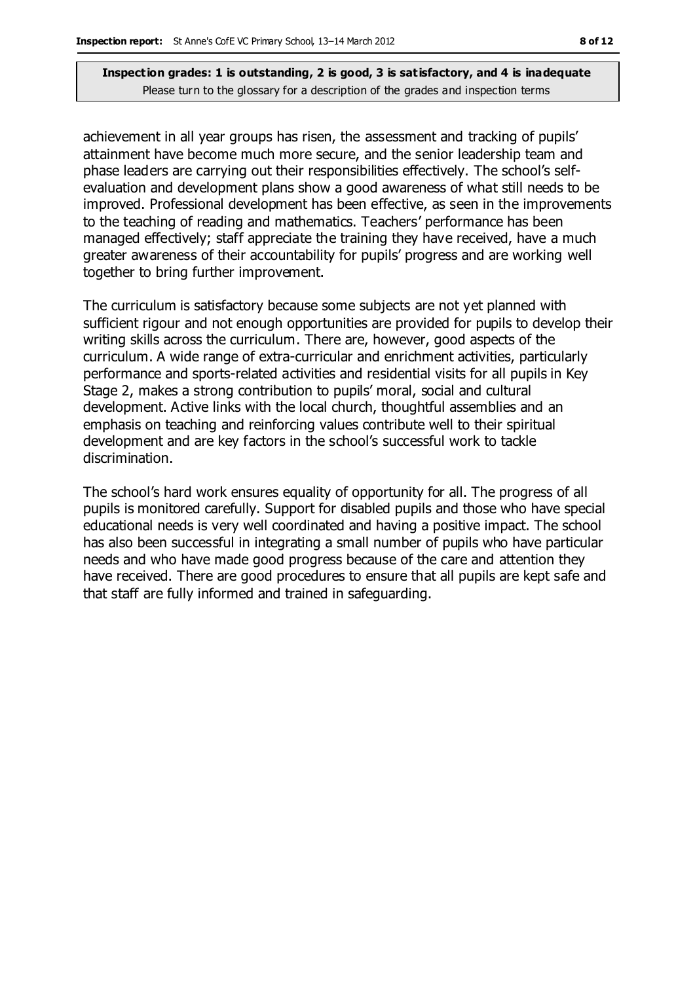achievement in all year groups has risen, the assessment and tracking of pupils' attainment have become much more secure, and the senior leadership team and phase leaders are carrying out their responsibilities effectively. The school's selfevaluation and development plans show a good awareness of what still needs to be improved. Professional development has been effective, as seen in the improvements to the teaching of reading and mathematics. Teachers' performance has been managed effectively; staff appreciate the training they have received, have a much greater awareness of their accountability for pupils' progress and are working well together to bring further improvement.

The curriculum is satisfactory because some subjects are not yet planned with sufficient rigour and not enough opportunities are provided for pupils to develop their writing skills across the curriculum. There are, however, good aspects of the curriculum. A wide range of extra-curricular and enrichment activities, particularly performance and sports-related activities and residential visits for all pupils in Key Stage 2, makes a strong contribution to pupils' moral, social and cultural development. Active links with the local church, thoughtful assemblies and an emphasis on teaching and reinforcing values contribute well to their spiritual development and are key factors in the school's successful work to tackle discrimination.

The school's hard work ensures equality of opportunity for all. The progress of all pupils is monitored carefully. Support for disabled pupils and those who have special educational needs is very well coordinated and having a positive impact. The school has also been successful in integrating a small number of pupils who have particular needs and who have made good progress because of the care and attention they have received. There are good procedures to ensure that all pupils are kept safe and that staff are fully informed and trained in safeguarding.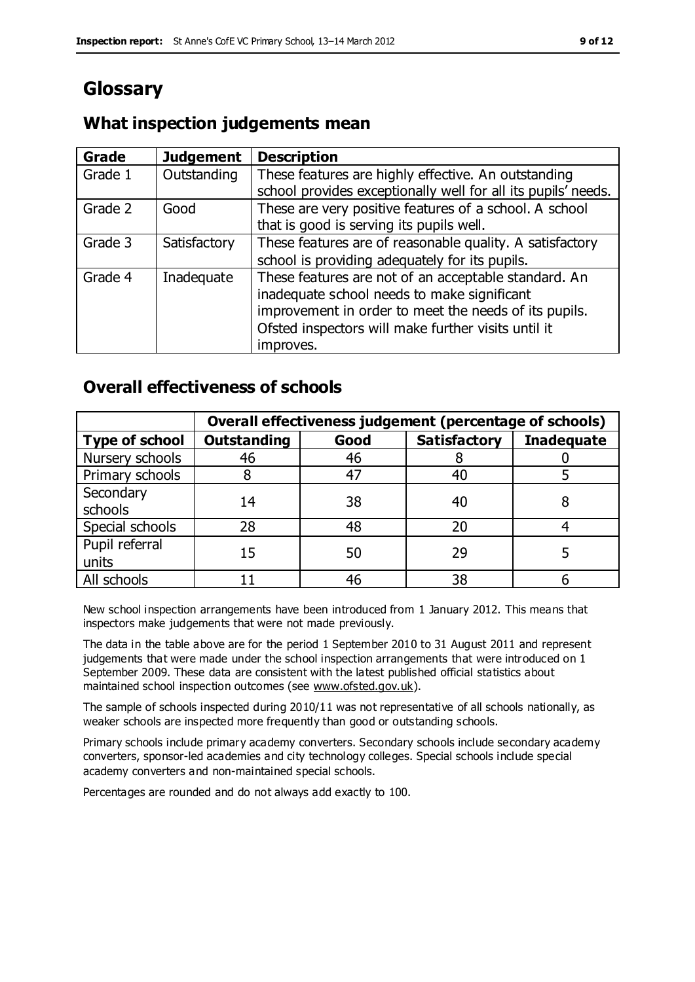## **Glossary**

### **What inspection judgements mean**

| <b>Grade</b> | <b>Judgement</b> | <b>Description</b>                                            |
|--------------|------------------|---------------------------------------------------------------|
| Grade 1      | Outstanding      | These features are highly effective. An outstanding           |
|              |                  | school provides exceptionally well for all its pupils' needs. |
| Grade 2      | Good             | These are very positive features of a school. A school        |
|              |                  | that is good is serving its pupils well.                      |
| Grade 3      | Satisfactory     | These features are of reasonable quality. A satisfactory      |
|              |                  | school is providing adequately for its pupils.                |
| Grade 4      | Inadequate       | These features are not of an acceptable standard. An          |
|              |                  | inadequate school needs to make significant                   |
|              |                  | improvement in order to meet the needs of its pupils.         |
|              |                  | Ofsted inspectors will make further visits until it           |
|              |                  | improves.                                                     |

### **Overall effectiveness of schools**

|                         | Overall effectiveness judgement (percentage of schools) |      |                     |                   |
|-------------------------|---------------------------------------------------------|------|---------------------|-------------------|
| <b>Type of school</b>   | <b>Outstanding</b>                                      | Good | <b>Satisfactory</b> | <b>Inadequate</b> |
| Nursery schools         | 46                                                      | 46   |                     |                   |
| Primary schools         |                                                         | 47   | 40                  |                   |
| Secondary<br>schools    | 14                                                      | 38   | 40                  |                   |
| Special schools         | 28                                                      | 48   | 20                  |                   |
| Pupil referral<br>units | 15                                                      | 50   | 29                  |                   |
| All schools             |                                                         | 46   | 38                  |                   |

New school inspection arrangements have been introduced from 1 January 2012. This means that inspectors make judgements that were not made previously.

The data in the table above are for the period 1 September 2010 to 31 August 2011 and represent judgements that were made under the school inspection arrangements that were introduced on 1 September 2009. These data are consistent with the latest published official statistics about maintained school inspection outcomes (see [www.ofsted.gov.uk\)](http://www.ofsted.gov.uk/).

The sample of schools inspected during 2010/11 was not representative of all schools nationally, as weaker schools are inspected more frequently than good or outstanding schools.

Primary schools include primary academy converters. Secondary schools include secondary academy converters, sponsor-led academies and city technology colleges. Special schools include special academy converters and non-maintained special schools.

Percentages are rounded and do not always add exactly to 100.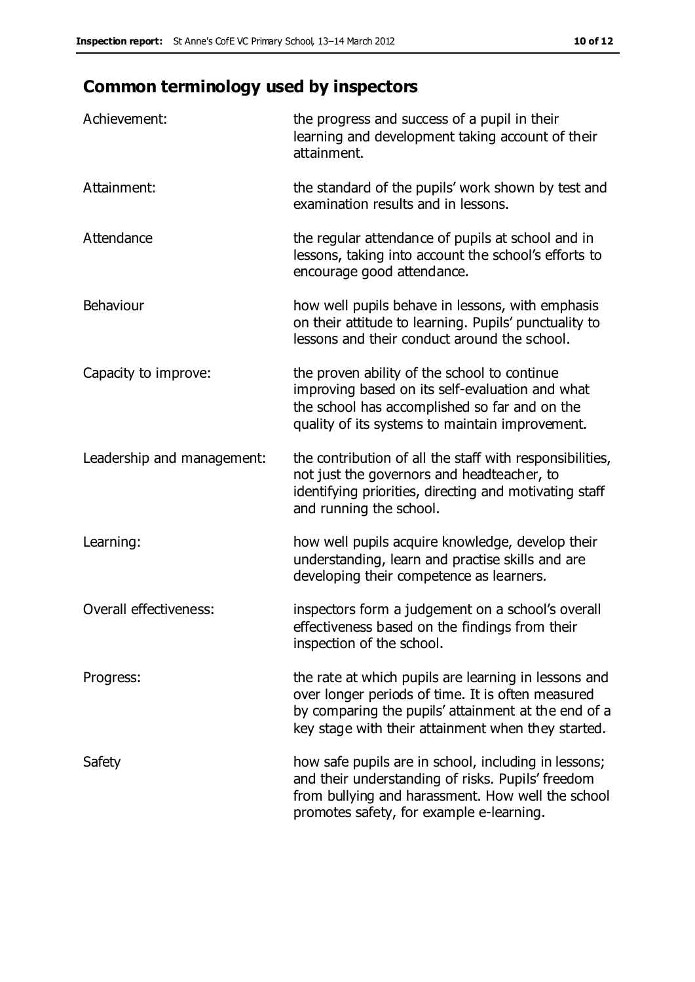## **Common terminology used by inspectors**

| Achievement:                  | the progress and success of a pupil in their<br>learning and development taking account of their<br>attainment.                                                                                                        |
|-------------------------------|------------------------------------------------------------------------------------------------------------------------------------------------------------------------------------------------------------------------|
| Attainment:                   | the standard of the pupils' work shown by test and<br>examination results and in lessons.                                                                                                                              |
| Attendance                    | the regular attendance of pupils at school and in<br>lessons, taking into account the school's efforts to<br>encourage good attendance.                                                                                |
| Behaviour                     | how well pupils behave in lessons, with emphasis<br>on their attitude to learning. Pupils' punctuality to<br>lessons and their conduct around the school.                                                              |
| Capacity to improve:          | the proven ability of the school to continue<br>improving based on its self-evaluation and what<br>the school has accomplished so far and on the<br>quality of its systems to maintain improvement.                    |
| Leadership and management:    | the contribution of all the staff with responsibilities,<br>not just the governors and headteacher, to<br>identifying priorities, directing and motivating staff<br>and running the school.                            |
| Learning:                     | how well pupils acquire knowledge, develop their<br>understanding, learn and practise skills and are<br>developing their competence as learners.                                                                       |
| <b>Overall effectiveness:</b> | inspectors form a judgement on a school's overall<br>effectiveness based on the findings from their<br>inspection of the school.                                                                                       |
| Progress:                     | the rate at which pupils are learning in lessons and<br>over longer periods of time. It is often measured<br>by comparing the pupils' attainment at the end of a<br>key stage with their attainment when they started. |
| Safety                        | how safe pupils are in school, including in lessons;<br>and their understanding of risks. Pupils' freedom<br>from bullying and harassment. How well the school<br>promotes safety, for example e-learning.             |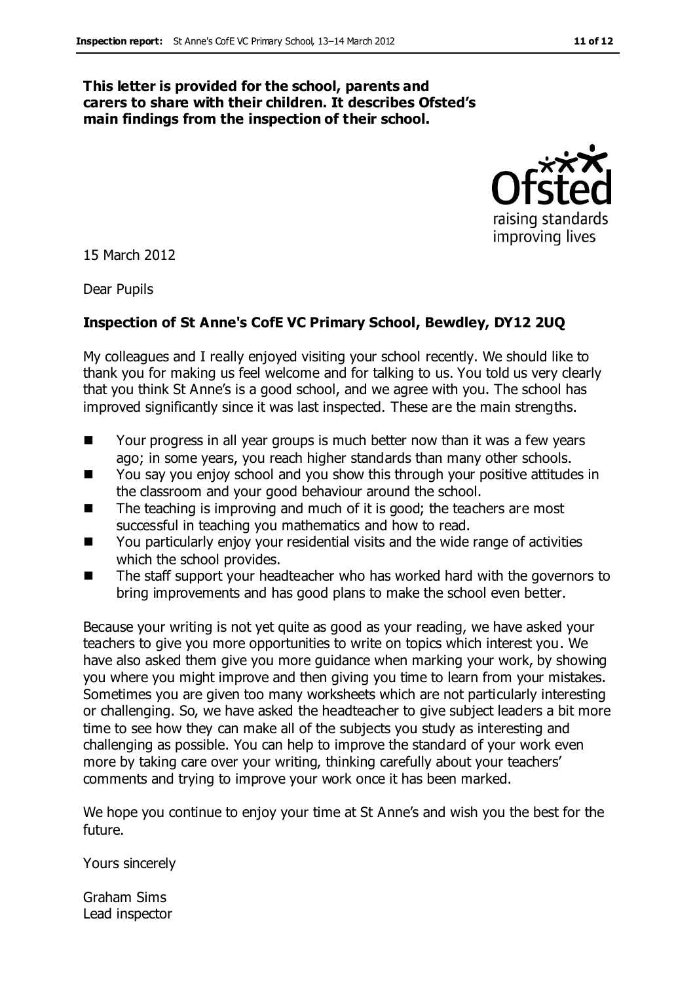#### **This letter is provided for the school, parents and carers to share with their children. It describes Ofsted's main findings from the inspection of their school.**



15 March 2012

Dear Pupils

#### **Inspection of St Anne's CofE VC Primary School, Bewdley, DY12 2UQ**

My colleagues and I really enjoyed visiting your school recently. We should like to thank you for making us feel welcome and for talking to us. You told us very clearly that you think St Anne's is a good school, and we agree with you. The school has improved significantly since it was last inspected. These are the main strengths.

- Your progress in all year groups is much better now than it was a few years ago; in some years, you reach higher standards than many other schools.
- You say you enjoy school and you show this through your positive attitudes in the classroom and your good behaviour around the school.
- $\blacksquare$  The teaching is improving and much of it is good; the teachers are most successful in teaching you mathematics and how to read.
- You particularly enjoy your residential visits and the wide range of activities which the school provides.
- The staff support your headteacher who has worked hard with the governors to bring improvements and has good plans to make the school even better.

Because your writing is not yet quite as good as your reading, we have asked your teachers to give you more opportunities to write on topics which interest you. We have also asked them give you more guidance when marking your work, by showing you where you might improve and then giving you time to learn from your mistakes. Sometimes you are given too many worksheets which are not particularly interesting or challenging. So, we have asked the headteacher to give subject leaders a bit more time to see how they can make all of the subjects you study as interesting and challenging as possible. You can help to improve the standard of your work even more by taking care over your writing, thinking carefully about your teachers' comments and trying to improve your work once it has been marked.

We hope you continue to enjoy your time at St Anne's and wish you the best for the future.

Yours sincerely

Graham Sims Lead inspector